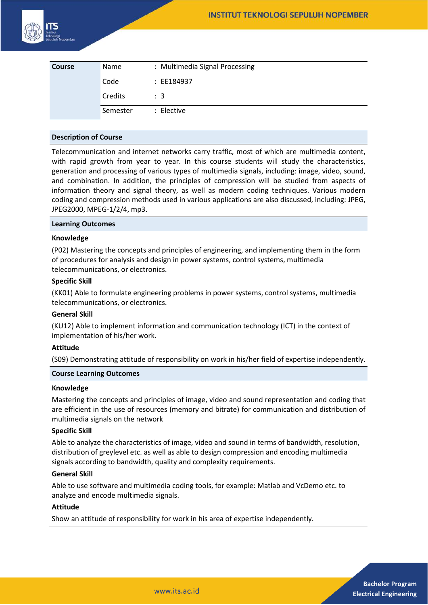

| <b>Course</b> | Name     | : Multimedia Signal Processing |
|---------------|----------|--------------------------------|
|               | Code     | : EE184937                     |
|               | Credits  | $\therefore$ 3                 |
|               | Semester | : Elective                     |

#### **Description of Course**

Telecommunication and internet networks carry traffic, most of which are multimedia content, with rapid growth from year to year. In this course students will study the characteristics, generation and processing of various types of multimedia signals, including: image, video, sound, and combination. In addition, the principles of compression will be studied from aspects of information theory and signal theory, as well as modern coding techniques. Various modern coding and compression methods used in various applications are also discussed, including: JPEG, JPEG2000, MPEG-1/2/4, mp3.

#### **Learning Outcomes**

## **Knowledge**

(P02) Mastering the concepts and principles of engineering, and implementing them in the form of procedures for analysis and design in power systems, control systems, multimedia telecommunications, or electronics.

## **Specific Skill**

(KK01) Able to formulate engineering problems in power systems, control systems, multimedia telecommunications, or electronics.

#### **General Skill**

(KU12) Able to implement information and communication technology (ICT) in the context of implementation of his/her work.

#### **Attitude**

(S09) Demonstrating attitude of responsibility on work in his/her field of expertise independently.

#### **Course Learning Outcomes**

#### **Knowledge**

Mastering the concepts and principles of image, video and sound representation and coding that are efficient in the use of resources (memory and bitrate) for communication and distribution of multimedia signals on the network

#### **Specific Skill**

Able to analyze the characteristics of image, video and sound in terms of bandwidth, resolution, distribution of greylevel etc. as well as able to design compression and encoding multimedia signals according to bandwidth, quality and complexity requirements.

#### **General Skill**

Able to use software and multimedia coding tools, for example: Matlab and VcDemo etc. to analyze and encode multimedia signals.

### **Attitude**

Show an attitude of responsibility for work in his area of expertise independently.